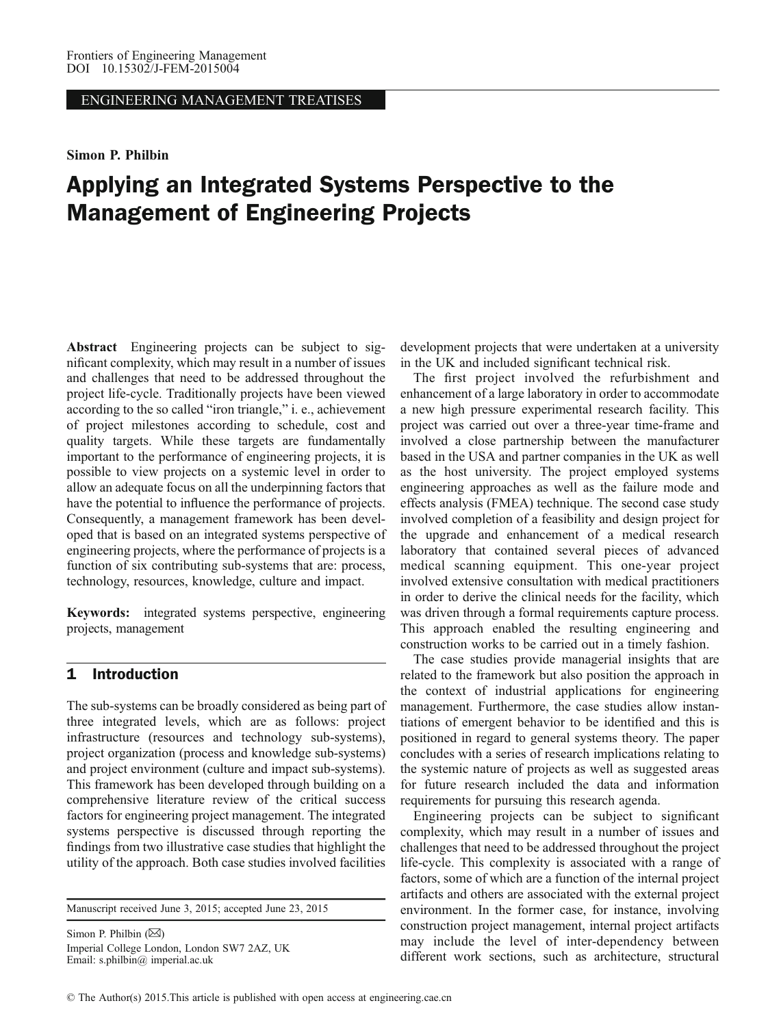ENGINEERING MANAGEMENT TREATISES

#### Simon P. Philbin

# Applying an Integrated Systems Perspective to the Management of Engineering Projects

Abstract Engineering projects can be subject to significant complexity, which may result in a number of issues and challenges that need to be addressed throughout the project life-cycle. Traditionally projects have been viewed according to the so called "iron triangle," i. e., achievement of project milestones according to schedule, cost and quality targets. While these targets are fundamentally important to the performance of engineering projects, it is possible to view projects on a systemic level in order to allow an adequate focus on all the underpinning factors that have the potential to influence the performance of projects. Consequently, a management framework has been developed that is based on an integrated systems perspective of engineering projects, where the performance of projects is a function of six contributing sub-systems that are: process, technology, resources, knowledge, culture and impact.

Keywords: integrated systems perspective, engineering projects, management

#### 1 Introduction

The sub-systems can be broadly considered as being part of three integrated levels, which are as follows: project infrastructure (resources and technology sub-systems), project organization (process and knowledge sub-systems) and project environment (culture and impact sub-systems). This framework has been developed through building on a comprehensive literature review of the critical success factors for engineering project management. The integrated systems perspective is discussed through reporting the findings from two illustrative case studies that highlight the utility of the approach. Both case studies involved facilities

Manuscript received June 3, 2015; accepted June 23, 2015

Simon P. Philbin  $(\boxtimes)$ Imperial College London, London SW7 2AZ, UK Email: s.philbin@ imperial.ac.uk

development projects that were undertaken at a university in the UK and included significant technical risk.

The first project involved the refurbishment and enhancement of a large laboratory in order to accommodate a new high pressure experimental research facility. This project was carried out over a three-year time-frame and involved a close partnership between the manufacturer based in the USA and partner companies in the UK as well as the host university. The project employed systems engineering approaches as well as the failure mode and effects analysis (FMEA) technique. The second case study involved completion of a feasibility and design project for the upgrade and enhancement of a medical research laboratory that contained several pieces of advanced medical scanning equipment. This one-year project involved extensive consultation with medical practitioners in order to derive the clinical needs for the facility, which was driven through a formal requirements capture process. This approach enabled the resulting engineering and construction works to be carried out in a timely fashion.

The case studies provide managerial insights that are related to the framework but also position the approach in the context of industrial applications for engineering management. Furthermore, the case studies allow instantiations of emergent behavior to be identified and this is positioned in regard to general systems theory. The paper concludes with a series of research implications relating to the systemic nature of projects as well as suggested areas for future research included the data and information requirements for pursuing this research agenda.

Engineering projects can be subject to significant complexity, which may result in a number of issues and challenges that need to be addressed throughout the project life-cycle. This complexity is associated with a range of factors, some of which are a function of the internal project artifacts and others are associated with the external project environment. In the former case, for instance, involving construction project management, internal project artifacts may include the level of inter-dependency between different work sections, such as architecture, structural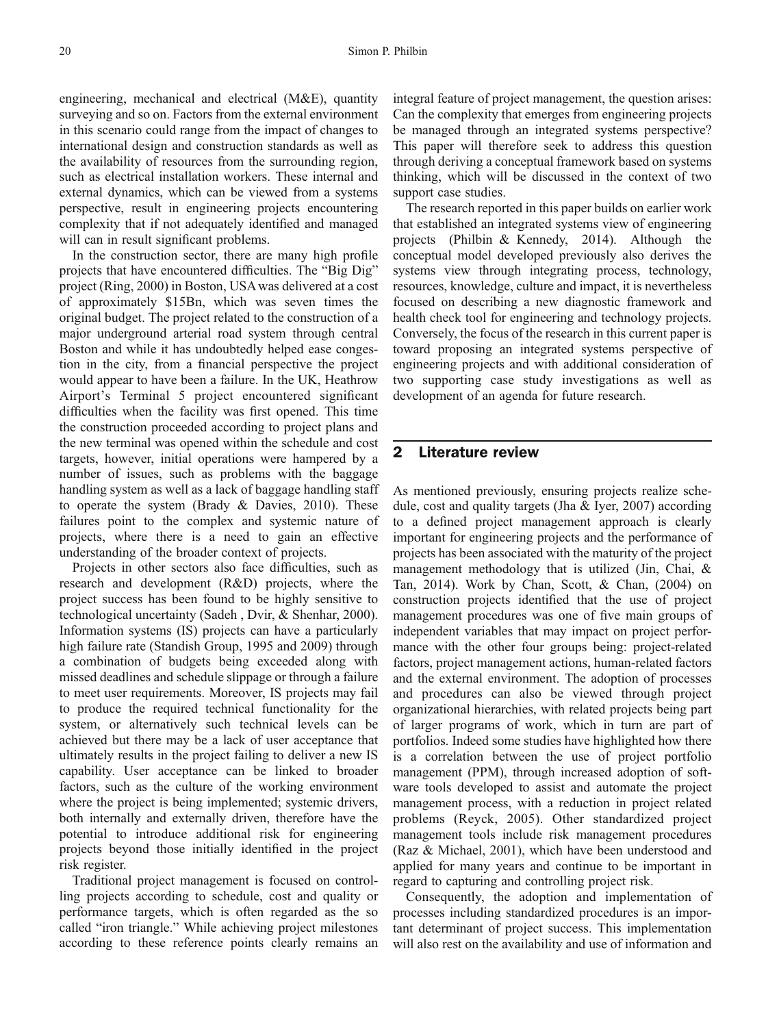engineering, mechanical and electrical (M&E), quantity surveying and so on. Factors from the external environment in this scenario could range from the impact of changes to international design and construction standards as well as the availability of resources from the surrounding region, such as electrical installation workers. These internal and external dynamics, which can be viewed from a systems perspective, result in engineering projects encountering complexity that if not adequately identified and managed will can in result significant problems.

In the construction sector, there are many high profile projects that have encountered difficulties. The "Big Dig" project [\(Ring, 2000](#page-10-0)) in Boston, USA was delivered at a cost of approximately \$15Bn, which was seven times the original budget. The project related to the construction of a major underground arterial road system through central Boston and while it has undoubtedly helped ease congestion in the city, from a financial perspective the project would appear to have been a failure. In the UK, Heathrow Airport's Terminal 5 project encountered significant difficulties when the facility was first opened. This time the construction proceeded according to project plans and the new terminal was opened within the schedule and cost targets, however, initial operations were hampered by a number of issues, such as problems with the baggage handling system as well as a lack of baggage handling staff to operate the system (Brady  $&$  Davies, 2010). These failures point to the complex and systemic nature of projects, where there is a need to gain an effective understanding of the broader context of projects.

Projects in other sectors also face difficulties, such as research and development (R&D) projects, where the project success has been found to be highly sensitive to technological uncertainty [\(Sadeh , Dvir, & Shenhar, 2000](#page-10-0)). Information systems (IS) projects can have a particularly high failure rate ([Standish Group, 1995](#page-10-0) and 2009) through a combination of budgets being exceeded along with missed deadlines and schedule slippage or through a failure to meet user requirements. Moreover, IS projects may fail to produce the required technical functionality for the system, or alternatively such technical levels can be achieved but there may be a lack of user acceptance that ultimately results in the project failing to deliver a new IS capability. User acceptance can be linked to broader factors, such as the culture of the working environment where the project is being implemented; systemic drivers, both internally and externally driven, therefore have the potential to introduce additional risk for engineering projects beyond those initially identified in the project risk register.

Traditional project management is focused on controlling projects according to schedule, cost and quality or performance targets, which is often regarded as the so called "iron triangle." While achieving project milestones according to these reference points clearly remains an

integral feature of project management, the question arises: Can the complexity that emerges from engineering projects be managed through an integrated systems perspective? This paper will therefore seek to address this question through deriving a conceptual framework based on systems thinking, which will be discussed in the context of two support case studies.

The research reported in this paper builds on earlier work that established an integrated systems view of engineering projects ([Philbin & Kennedy, 2014\)](#page-10-0). Although the conceptual model developed previously also derives the systems view through integrating process, technology, resources, knowledge, culture and impact, it is nevertheless focused on describing a new diagnostic framework and health check tool for engineering and technology projects. Conversely, the focus of the research in this current paper is toward proposing an integrated systems perspective of engineering projects and with additional consideration of two supporting case study investigations as well as development of an agenda for future research.

# 2 Literature review

As mentioned previously, ensuring projects realize schedule, cost and quality targets ([Jha & Iyer, 2007](#page-10-0)) according to a defined project management approach is clearly important for engineering projects and the performance of projects has been associated with the maturity of the project management methodology that is utilized [\(Jin, Chai, &](#page-10-0) [Tan, 2014\)](#page-10-0). Work by Chan, Scott, & Chan, [\(2004](#page-10-0)) on construction projects identified that the use of project management procedures was one of five main groups of independent variables that may impact on project performance with the other four groups being: project-related factors, project management actions, human-related factors and the external environment. The adoption of processes and procedures can also be viewed through project organizational hierarchies, with related projects being part of larger programs of work, which in turn are part of portfolios. Indeed some studies have highlighted how there is a correlation between the use of project portfolio management (PPM), through increased adoption of software tools developed to assist and automate the project management process, with a reduction in project related problems ([Reyck, 2005](#page-10-0)). Other standardized project management tools include risk management procedures ([Raz & Michael, 2001\)](#page-10-0), which have been understood and applied for many years and continue to be important in regard to capturing and controlling project risk.

Consequently, the adoption and implementation of processes including standardized procedures is an important determinant of project success. This implementation will also rest on the availability and use of information and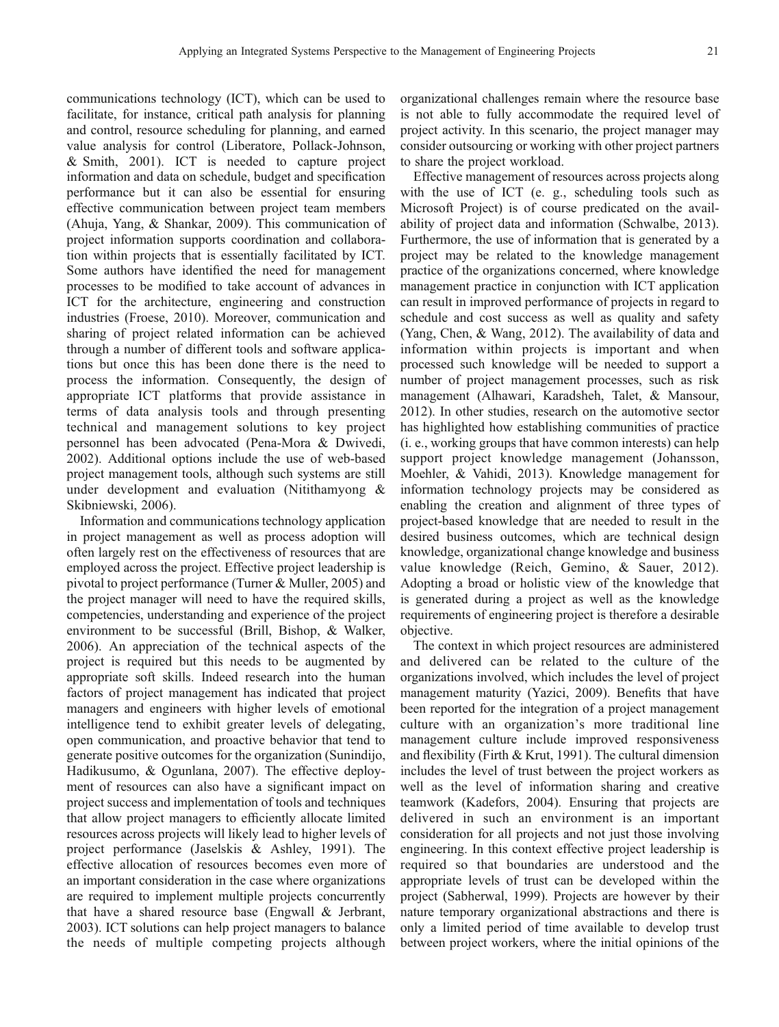communications technology (ICT), which can be used to facilitate, for instance, critical path analysis for planning and control, resource scheduling for planning, and earned value analysis for control ([Liberatore, Pollack-Johnson,](#page-10-0) [& Smith, 2001\)](#page-10-0). ICT is needed to capture project information and data on schedule, budget and specification performance but it can also be essential for ensuring effective communication between project team members [\(Ahuja, Yang, & Shankar, 2009](#page-9-0)). This communication of project information supports coordination and collaboration within projects that is essentially facilitated by ICT. Some authors have identified the need for management processes to be modified to take account of advances in ICT for the architecture, engineering and construction industries ([Froese, 2010\)](#page-10-0). Moreover, communication and sharing of project related information can be achieved through a number of different tools and software applications but once this has been done there is the need to process the information. Consequently, the design of appropriate ICT platforms that provide assistance in terms of data analysis tools and through presenting technical and management solutions to key project personnel has been advocated ([Pena-Mora & Dwivedi,](#page-10-0) [2002\)](#page-10-0). Additional options include the use of web-based project management tools, although such systems are still under development and evaluation ([Nitithamyong &](#page-10-0) [Skibniewski, 2006\)](#page-10-0).

Information and communications technology application in project management as well as process adoption will often largely rest on the effectiveness of resources that are employed across the project. Effective project leadership is pivotal to project performance ([Turner & Muller, 2005](#page-10-0)) and the project manager will need to have the required skills, competencies, understanding and experience of the project environment to be successful ([Brill, Bishop, & Walker,](#page-9-0) [2006\)](#page-9-0). An appreciation of the technical aspects of the project is required but this needs to be augmented by appropriate soft skills. Indeed research into the human factors of project management has indicated that project managers and engineers with higher levels of emotional intelligence tend to exhibit greater levels of delegating, open communication, and proactive behavior that tend to generate positive outcomes for the organization ([Sunindijo,](#page-10-0) [Hadikusumo, & Ogunlana, 2007\)](#page-10-0). The effective deployment of resources can also have a significant impact on project success and implementation of tools and techniques that allow project managers to efficiently allocate limited resources across projects will likely lead to higher levels of project performance ([Jaselskis & Ashley, 1991\)](#page-10-0). The effective allocation of resources becomes even more of an important consideration in the case where organizations are required to implement multiple projects concurrently that have a shared resource base ([Engwall & Jerbrant,](#page-10-0) [2003\)](#page-10-0). ICT solutions can help project managers to balance the needs of multiple competing projects although

organizational challenges remain where the resource base is not able to fully accommodate the required level of project activity. In this scenario, the project manager may consider outsourcing or working with other project partners to share the project workload.

Effective management of resources across projects along with the use of ICT (e. g., scheduling tools such as Microsoft Project) is of course predicated on the availability of project data and information [\(Schwalbe, 2013\)](#page-10-0). Furthermore, the use of information that is generated by a project may be related to the knowledge management practice of the organizations concerned, where knowledge management practice in conjunction with ICT application can result in improved performance of projects in regard to schedule and cost success as well as quality and safety ([Yang, Chen, & Wang, 2012\)](#page-11-0). The availability of data and information within projects is important and when processed such knowledge will be needed to support a number of project management processes, such as risk management [\(Alhawari, Karadsheh, Talet, & Mansour,](#page-9-0) [2012](#page-9-0)). In other studies, research on the automotive sector has highlighted how establishing communities of practice (i. e., working groups that have common interests) can help support project knowledge management ([Johansson,](#page-10-0) [Moehler, & Vahidi, 2013\)](#page-10-0). Knowledge management for information technology projects may be considered as enabling the creation and alignment of three types of project-based knowledge that are needed to result in the desired business outcomes, which are technical design knowledge, organizational change knowledge and business value knowledge ([Reich, Gemino, & Sauer, 2012\)](#page-10-0). Adopting a broad or holistic view of the knowledge that is generated during a project as well as the knowledge requirements of engineering project is therefore a desirable objective.

The context in which project resources are administered and delivered can be related to the culture of the organizations involved, which includes the level of project management maturity ([Yazici, 2009\)](#page-11-0). Benefits that have been reported for the integration of a project management culture with an organization's more traditional line management culture include improved responsiveness and flexibility [\(Firth & Krut, 1991](#page-10-0)). The cultural dimension includes the level of trust between the project workers as well as the level of information sharing and creative teamwork [\(Kadefors, 2004](#page-10-0)). Ensuring that projects are delivered in such an environment is an important consideration for all projects and not just those involving engineering. In this context effective project leadership is required so that boundaries are understood and the appropriate levels of trust can be developed within the project [\(Sabherwal, 1999](#page-10-0)). Projects are however by their nature temporary organizational abstractions and there is only a limited period of time available to develop trust between project workers, where the initial opinions of the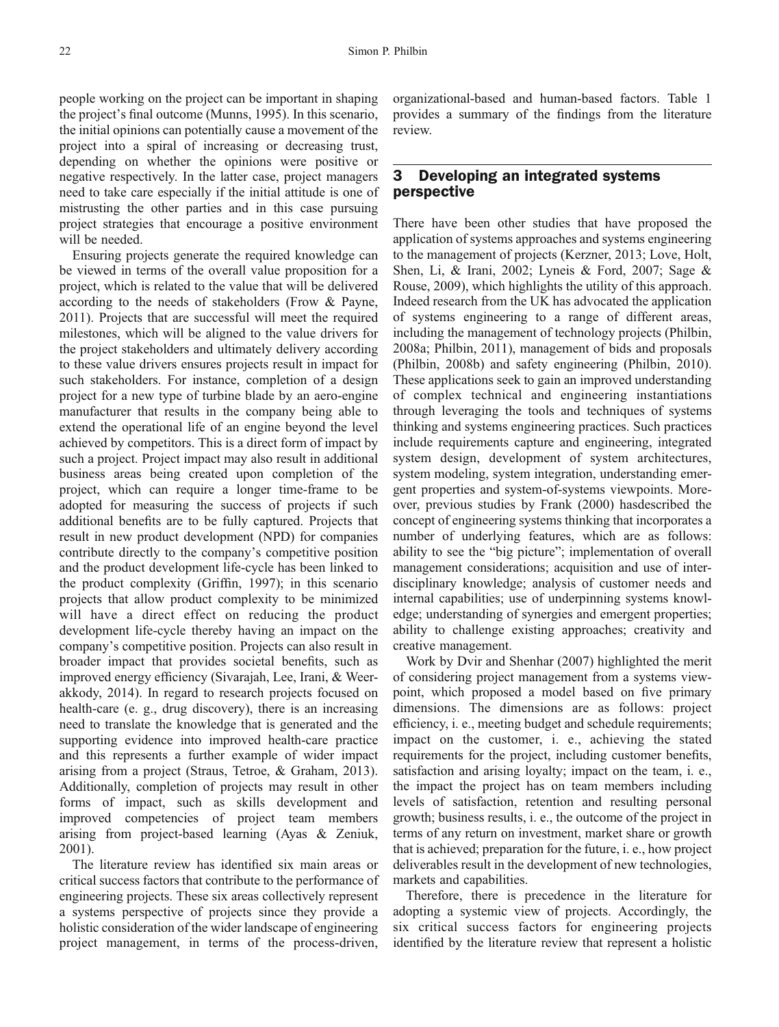people working on the project can be important in shaping the project's final outcome ([Munns, 1995\)](#page-10-0). In this scenario, the initial opinions can potentially cause a movement of the project into a spiral of increasing or decreasing trust, depending on whether the opinions were positive or negative respectively. In the latter case, project managers need to take care especially if the initial attitude is one of mistrusting the other parties and in this case pursuing project strategies that encourage a positive environment will be needed.

Ensuring projects generate the required knowledge can be viewed in terms of the overall value proposition for a project, which is related to the value that will be delivered according to the needs of stakeholders ([Frow & Payne,](#page-10-0) [2011\)](#page-10-0). Projects that are successful will meet the required milestones, which will be aligned to the value drivers for the project stakeholders and ultimately delivery according to these value drivers ensures projects result in impact for such stakeholders. For instance, completion of a design project for a new type of turbine blade by an aero-engine manufacturer that results in the company being able to extend the operational life of an engine beyond the level achieved by competitors. This is a direct form of impact by such a project. Project impact may also result in additional business areas being created upon completion of the project, which can require a longer time-frame to be adopted for measuring the success of projects if such additional benefits are to be fully captured. Projects that result in new product development (NPD) for companies contribute directly to the company's competitive position and the product development life-cycle has been linked to the product complexity (Griffi[n, 1997\)](#page-10-0); in this scenario projects that allow product complexity to be minimized will have a direct effect on reducing the product development life-cycle thereby having an impact on the company's competitive position. Projects can also result in broader impact that provides societal benefits, such as improved energy efficiency ([Sivarajah, Lee, Irani, & Weer](#page-10-0)[akkody, 2014\)](#page-10-0). In regard to research projects focused on health-care (e. g., drug discovery), there is an increasing need to translate the knowledge that is generated and the supporting evidence into improved health-care practice and this represents a further example of wider impact arising from a project ([Straus, Tetroe, & Graham, 2013](#page-10-0)). Additionally, completion of projects may result in other forms of impact, such as skills development and improved competencies of project team members arising from project-based learning ([Ayas & Zeniuk,](#page-9-0) [2001](#page-9-0)).

The literature review has identified six main areas or critical success factors that contribute to the performance of engineering projects. These six areas collectively represent a systems perspective of projects since they provide a holistic consideration of the wider landscape of engineering project management, in terms of the process-driven,

organizational-based and human-based factors. Table 1 provides a summary of the findings from the literature review.

### 3 Developing an integrated systems perspective

There have been other studies that have proposed the application of systems approaches and systems engineering to the management of projects [\(Kerzner, 2013](#page-10-0); [Love, Holt,](#page-10-0) [Shen, Li, & Irani, 2002; Lyneis & Ford, 2007](#page-10-0); [Sage &](#page-10-0) [Rouse, 2009\)](#page-10-0), which highlights the utility of this approach. Indeed research from the UK has advocated the application of systems engineering to a range of different areas, including the management of technology projects ([Philbin,](#page-10-0) [2008a; Philbin, 2011](#page-10-0)), management of bids and proposals ([Philbin, 2008b](#page-10-0)) and safety engineering [\(Philbin, 2010](#page-10-0)). These applications seek to gain an improved understanding of complex technical and engineering instantiations through leveraging the tools and techniques of systems thinking and systems engineering practices. Such practices include requirements capture and engineering, integrated system design, development of system architectures, system modeling, system integration, understanding emergent properties and system-of-systems viewpoints. Moreover, previous studies by Frank [\(2000](#page-10-0)) hasdescribed the concept of engineering systems thinking that incorporates a number of underlying features, which are as follows: ability to see the "big picture"; implementation of overall management considerations; acquisition and use of interdisciplinary knowledge; analysis of customer needs and internal capabilities; use of underpinning systems knowledge; understanding of synergies and emergent properties; ability to challenge existing approaches; creativity and creative management.

Work by Dvir and Shenhar ([2007\)](#page-10-0) highlighted the merit of considering project management from a systems viewpoint, which proposed a model based on five primary dimensions. The dimensions are as follows: project efficiency, i. e., meeting budget and schedule requirements; impact on the customer, i. e., achieving the stated requirements for the project, including customer benefits, satisfaction and arising loyalty; impact on the team, i. e., the impact the project has on team members including levels of satisfaction, retention and resulting personal growth; business results, i. e., the outcome of the project in terms of any return on investment, market share or growth that is achieved; preparation for the future, i. e., how project deliverables result in the development of new technologies, markets and capabilities.

Therefore, there is precedence in the literature for adopting a systemic view of projects. Accordingly, the six critical success factors for engineering projects identified by the literature review that represent a holistic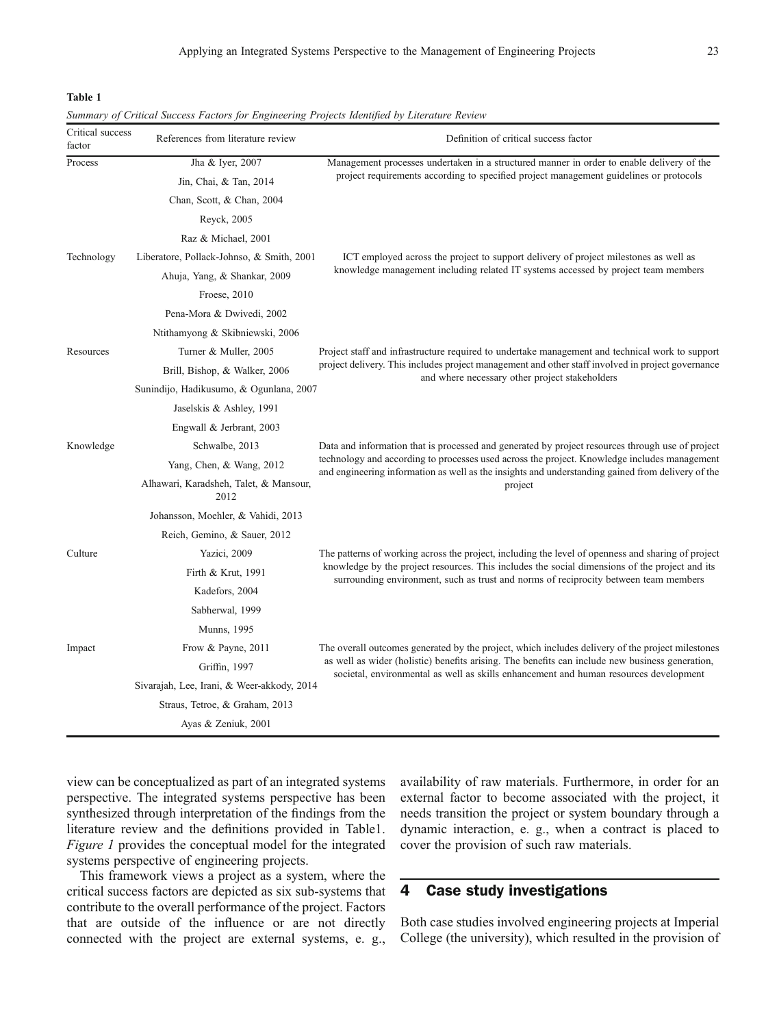Table 1

| Critical success<br>factor | Summary of Critical Success Pactors for Engineering Projects faentified by Literature Review<br>References from literature review | Definition of critical success factor                                                                                                                                                                                                                                                                            |  |
|----------------------------|-----------------------------------------------------------------------------------------------------------------------------------|------------------------------------------------------------------------------------------------------------------------------------------------------------------------------------------------------------------------------------------------------------------------------------------------------------------|--|
| Process                    | Jha & Iyer, 2007                                                                                                                  | Management processes undertaken in a structured manner in order to enable delivery of the                                                                                                                                                                                                                        |  |
|                            | Jin, Chai, & Tan, 2014                                                                                                            | project requirements according to specified project management guidelines or protocols                                                                                                                                                                                                                           |  |
|                            | Chan, Scott, & Chan, 2004                                                                                                         |                                                                                                                                                                                                                                                                                                                  |  |
|                            | Reyck, 2005                                                                                                                       |                                                                                                                                                                                                                                                                                                                  |  |
|                            | Raz & Michael, 2001                                                                                                               |                                                                                                                                                                                                                                                                                                                  |  |
| Technology                 | Liberatore, Pollack-Johnso, & Smith, 2001                                                                                         | ICT employed across the project to support delivery of project milestones as well as                                                                                                                                                                                                                             |  |
|                            | Ahuja, Yang, & Shankar, 2009                                                                                                      | knowledge management including related IT systems accessed by project team members                                                                                                                                                                                                                               |  |
|                            | Froese, 2010                                                                                                                      |                                                                                                                                                                                                                                                                                                                  |  |
|                            | Pena-Mora & Dwivedi, 2002                                                                                                         |                                                                                                                                                                                                                                                                                                                  |  |
|                            | Ntithamyong & Skibniewski, 2006                                                                                                   |                                                                                                                                                                                                                                                                                                                  |  |
| Resources                  | Turner & Muller, 2005                                                                                                             | Project staff and infrastructure required to undertake management and technical work to support<br>project delivery. This includes project management and other staff involved in project governance<br>and where necessary other project stakeholders                                                           |  |
|                            | Brill, Bishop, & Walker, 2006                                                                                                     |                                                                                                                                                                                                                                                                                                                  |  |
|                            | Sunindijo, Hadikusumo, & Ogunlana, 2007                                                                                           |                                                                                                                                                                                                                                                                                                                  |  |
|                            | Jaselskis & Ashley, 1991                                                                                                          |                                                                                                                                                                                                                                                                                                                  |  |
|                            | Engwall & Jerbrant, 2003                                                                                                          |                                                                                                                                                                                                                                                                                                                  |  |
| Knowledge                  | Schwalbe, 2013                                                                                                                    | Data and information that is processed and generated by project resources through use of project<br>technology and according to processes used across the project. Knowledge includes management<br>and engineering information as well as the insights and understanding gained from delivery of the<br>project |  |
|                            | Yang, Chen, & Wang, 2012                                                                                                          |                                                                                                                                                                                                                                                                                                                  |  |
|                            | Alhawari, Karadsheh, Talet, & Mansour,<br>2012                                                                                    |                                                                                                                                                                                                                                                                                                                  |  |
|                            | Johansson, Moehler, & Vahidi, 2013                                                                                                |                                                                                                                                                                                                                                                                                                                  |  |
|                            | Reich, Gemino, & Sauer, 2012                                                                                                      |                                                                                                                                                                                                                                                                                                                  |  |
| Culture                    | Yazici, 2009                                                                                                                      | The patterns of working across the project, including the level of openness and sharing of project                                                                                                                                                                                                               |  |
|                            | Firth & Krut, 1991                                                                                                                | knowledge by the project resources. This includes the social dimensions of the project and its<br>surrounding environment, such as trust and norms of reciprocity between team members                                                                                                                           |  |
|                            | Kadefors, 2004                                                                                                                    |                                                                                                                                                                                                                                                                                                                  |  |
|                            | Sabherwal, 1999                                                                                                                   |                                                                                                                                                                                                                                                                                                                  |  |
|                            | <b>Munns</b> , 1995                                                                                                               |                                                                                                                                                                                                                                                                                                                  |  |
| Impact                     | Frow & Payne, 2011                                                                                                                | The overall outcomes generated by the project, which includes delivery of the project milestones<br>as well as wider (holistic) benefits arising. The benefits can include new business generation,<br>societal, environmental as well as skills enhancement and human resources development                     |  |
|                            | Griffin, 1997                                                                                                                     |                                                                                                                                                                                                                                                                                                                  |  |
|                            | Sivarajah, Lee, Irani, & Weer-akkody, 2014                                                                                        |                                                                                                                                                                                                                                                                                                                  |  |
|                            | Straus, Tetroe, & Graham, 2013                                                                                                    |                                                                                                                                                                                                                                                                                                                  |  |
|                            | Ayas & Zeniuk, 2001                                                                                                               |                                                                                                                                                                                                                                                                                                                  |  |

Summary of Critical Success Factors for Engineering Projects Identified by Literature Review

view can be conceptualized as part of an integrated systems perspective. The integrated systems perspective has been synthesized through interpretation of the findings from the literature review and the definitions provided in Table1. Figure 1 provides the conceptual model for the integrated systems perspective of engineering projects.

This framework views a project as a system, where the critical success factors are depicted as six sub-systems that contribute to the overall performance of the project. Factors that are outside of the influence or are not directly connected with the project are external systems, e. g., availability of raw materials. Furthermore, in order for an external factor to become associated with the project, it needs transition the project or system boundary through a dynamic interaction, e. g., when a contract is placed to cover the provision of such raw materials.

#### 4 Case study investigations

Both case studies involved engineering projects at Imperial College (the university), which resulted in the provision of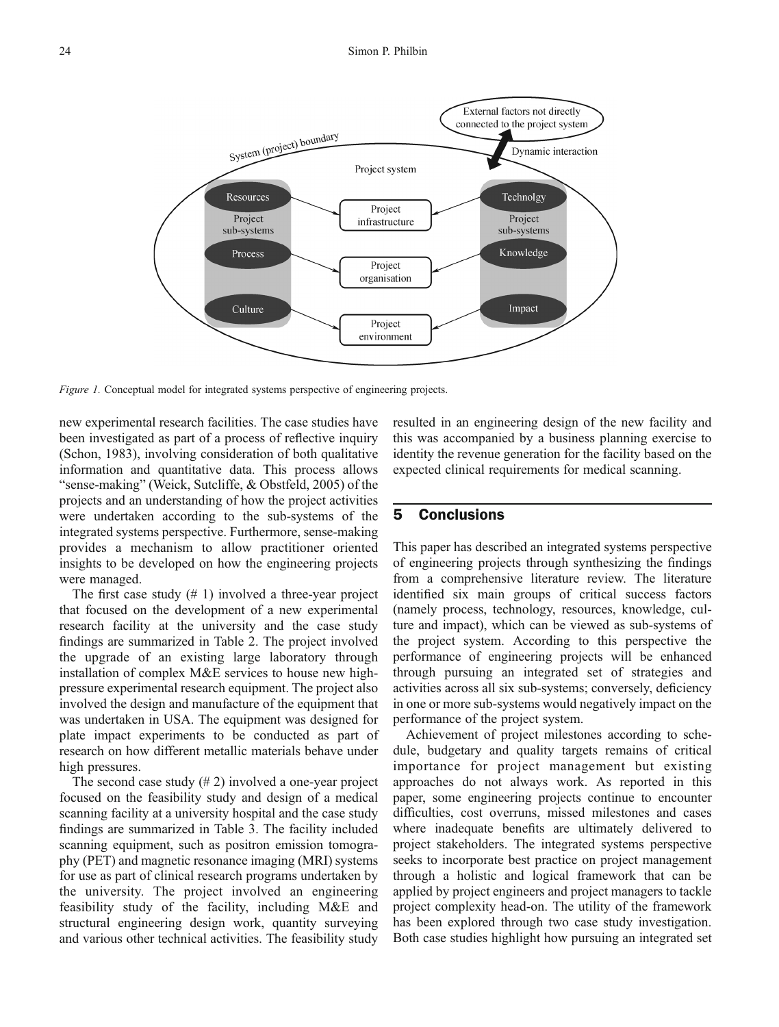

Figure 1. Conceptual model for integrated systems perspective of engineering projects.

new experimental research facilities. The case studies have been investigated as part of a process of reflective inquiry ([Schon, 1983](#page-10-0)), involving consideration of both qualitative information and quantitative data. This process allows "sense-making" [\(Weick, Sutcliffe, & Obstfeld, 2005](#page-11-0)) of the projects and an understanding of how the project activities were undertaken according to the sub-systems of the integrated systems perspective. Furthermore, sense-making provides a mechanism to allow practitioner oriented insights to be developed on how the engineering projects were managed.

The first case study  $(# 1)$  involved a three-year project that focused on the development of a new experimental research facility at the university and the case study findings are summarized in Table 2. The project involved the upgrade of an existing large laboratory through installation of complex M&E services to house new highpressure experimental research equipment. The project also involved the design and manufacture of the equipment that was undertaken in USA. The equipment was designed for plate impact experiments to be conducted as part of research on how different metallic materials behave under high pressures.

The second case study  $(\# 2)$  involved a one-year project focused on the feasibility study and design of a medical scanning facility at a university hospital and the case study findings are summarized in Table 3. The facility included scanning equipment, such as positron emission tomography (PET) and magnetic resonance imaging (MRI) systems for use as part of clinical research programs undertaken by the university. The project involved an engineering feasibility study of the facility, including M&E and structural engineering design work, quantity surveying and various other technical activities. The feasibility study

resulted in an engineering design of the new facility and this was accompanied by a business planning exercise to identity the revenue generation for the facility based on the expected clinical requirements for medical scanning.

# 5 Conclusions

This paper has described an integrated systems perspective of engineering projects through synthesizing the findings from a comprehensive literature review. The literature identified six main groups of critical success factors (namely process, technology, resources, knowledge, culture and impact), which can be viewed as sub-systems of the project system. According to this perspective the performance of engineering projects will be enhanced through pursuing an integrated set of strategies and activities across all six sub-systems; conversely, deficiency in one or more sub-systems would negatively impact on the performance of the project system.

Achievement of project milestones according to schedule, budgetary and quality targets remains of critical importance for project management but existing approaches do not always work. As reported in this paper, some engineering projects continue to encounter difficulties, cost overruns, missed milestones and cases where inadequate benefits are ultimately delivered to project stakeholders. The integrated systems perspective seeks to incorporate best practice on project management through a holistic and logical framework that can be applied by project engineers and project managers to tackle project complexity head-on. The utility of the framework has been explored through two case study investigation. Both case studies highlight how pursuing an integrated set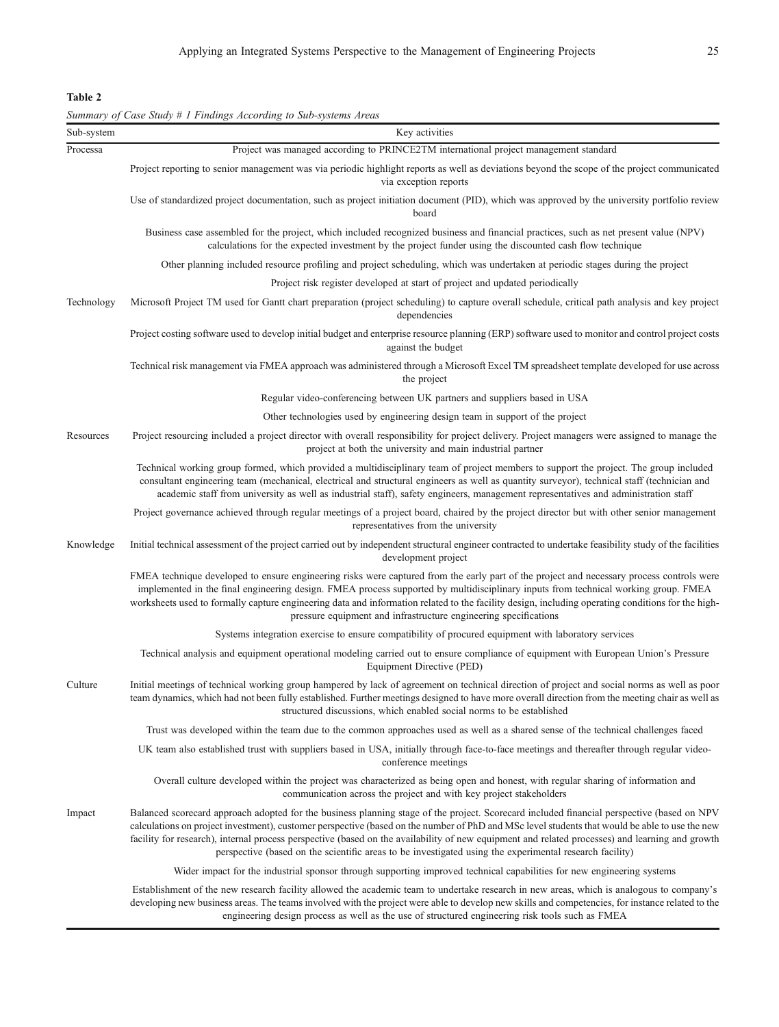Table 2

Summary of Case Study # 1 Findings According to Sub-systems Areas

| Sub-system | Key activities                                                                                                                                                                                                                                                                                                                                                                                                                                                                                                                                             |
|------------|------------------------------------------------------------------------------------------------------------------------------------------------------------------------------------------------------------------------------------------------------------------------------------------------------------------------------------------------------------------------------------------------------------------------------------------------------------------------------------------------------------------------------------------------------------|
| Processa   | Project was managed according to PRINCE2TM international project management standard                                                                                                                                                                                                                                                                                                                                                                                                                                                                       |
|            | Project reporting to senior management was via periodic highlight reports as well as deviations beyond the scope of the project communicated<br>via exception reports                                                                                                                                                                                                                                                                                                                                                                                      |
|            | Use of standardized project documentation, such as project initiation document (PID), which was approved by the university portfolio review<br>board                                                                                                                                                                                                                                                                                                                                                                                                       |
|            | Business case assembled for the project, which included recognized business and financial practices, such as net present value (NPV)<br>calculations for the expected investment by the project funder using the discounted cash flow technique                                                                                                                                                                                                                                                                                                            |
|            | Other planning included resource profiling and project scheduling, which was undertaken at periodic stages during the project                                                                                                                                                                                                                                                                                                                                                                                                                              |
|            | Project risk register developed at start of project and updated periodically                                                                                                                                                                                                                                                                                                                                                                                                                                                                               |
| Technology | Microsoft Project TM used for Gantt chart preparation (project scheduling) to capture overall schedule, critical path analysis and key project<br>dependencies                                                                                                                                                                                                                                                                                                                                                                                             |
|            | Project costing software used to develop initial budget and enterprise resource planning (ERP) software used to monitor and control project costs<br>against the budget                                                                                                                                                                                                                                                                                                                                                                                    |
|            | Technical risk management via FMEA approach was administered through a Microsoft Excel TM spreadsheet template developed for use across<br>the project                                                                                                                                                                                                                                                                                                                                                                                                     |
|            | Regular video-conferencing between UK partners and suppliers based in USA                                                                                                                                                                                                                                                                                                                                                                                                                                                                                  |
|            | Other technologies used by engineering design team in support of the project                                                                                                                                                                                                                                                                                                                                                                                                                                                                               |
| Resources  | Project resourcing included a project director with overall responsibility for project delivery. Project managers were assigned to manage the<br>project at both the university and main industrial partner                                                                                                                                                                                                                                                                                                                                                |
|            | Technical working group formed, which provided a multidisciplinary team of project members to support the project. The group included<br>consultant engineering team (mechanical, electrical and structural engineers as well as quantity surveyor), technical staff (technician and<br>academic staff from university as well as industrial staff), safety engineers, management representatives and administration staff                                                                                                                                 |
|            | Project governance achieved through regular meetings of a project board, chaired by the project director but with other senior management<br>representatives from the university                                                                                                                                                                                                                                                                                                                                                                           |
| Knowledge  | Initial technical assessment of the project carried out by independent structural engineer contracted to undertake feasibility study of the facilities<br>development project                                                                                                                                                                                                                                                                                                                                                                              |
|            | FMEA technique developed to ensure engineering risks were captured from the early part of the project and necessary process controls were<br>implemented in the final engineering design. FMEA process supported by multidisciplinary inputs from technical working group. FMEA<br>worksheets used to formally capture engineering data and information related to the facility design, including operating conditions for the high-<br>pressure equipment and infrastructure engineering specifications                                                   |
|            | Systems integration exercise to ensure compatibility of procured equipment with laboratory services                                                                                                                                                                                                                                                                                                                                                                                                                                                        |
|            | Technical analysis and equipment operational modeling carried out to ensure compliance of equipment with European Union's Pressure<br>Equipment Directive (PED)                                                                                                                                                                                                                                                                                                                                                                                            |
| Culture    | Initial meetings of technical working group hampered by lack of agreement on technical direction of project and social norms as well as poor<br>team dynamics, which had not been fully established. Further meetings designed to have more overall direction from the meeting chair as well as<br>structured discussions, which enabled social norms to be established                                                                                                                                                                                    |
|            | Trust was developed within the team due to the common approaches used as well as a shared sense of the technical challenges faced                                                                                                                                                                                                                                                                                                                                                                                                                          |
|            | UK team also established trust with suppliers based in USA, initially through face-to-face meetings and thereafter through regular video-<br>conference meetings                                                                                                                                                                                                                                                                                                                                                                                           |
|            | Overall culture developed within the project was characterized as being open and honest, with regular sharing of information and<br>communication across the project and with key project stakeholders                                                                                                                                                                                                                                                                                                                                                     |
| Impact     | Balanced scorecard approach adopted for the business planning stage of the project. Scorecard included financial perspective (based on NPV<br>calculations on project investment), customer perspective (based on the number of PhD and MSc level students that would be able to use the new<br>facility for research), internal process perspective (based on the availability of new equipment and related processes) and learning and growth<br>perspective (based on the scientific areas to be investigated using the experimental research facility) |
|            | Wider impact for the industrial sponsor through supporting improved technical capabilities for new engineering systems                                                                                                                                                                                                                                                                                                                                                                                                                                     |
|            | Establishment of the new research facility allowed the academic team to undertake research in new areas, which is analogous to company's<br>developing new business areas. The teams involved with the project were able to develop new skills and competencies, for instance related to the                                                                                                                                                                                                                                                               |

engineering design process as well as the use of structured engineering risk tools such as FMEA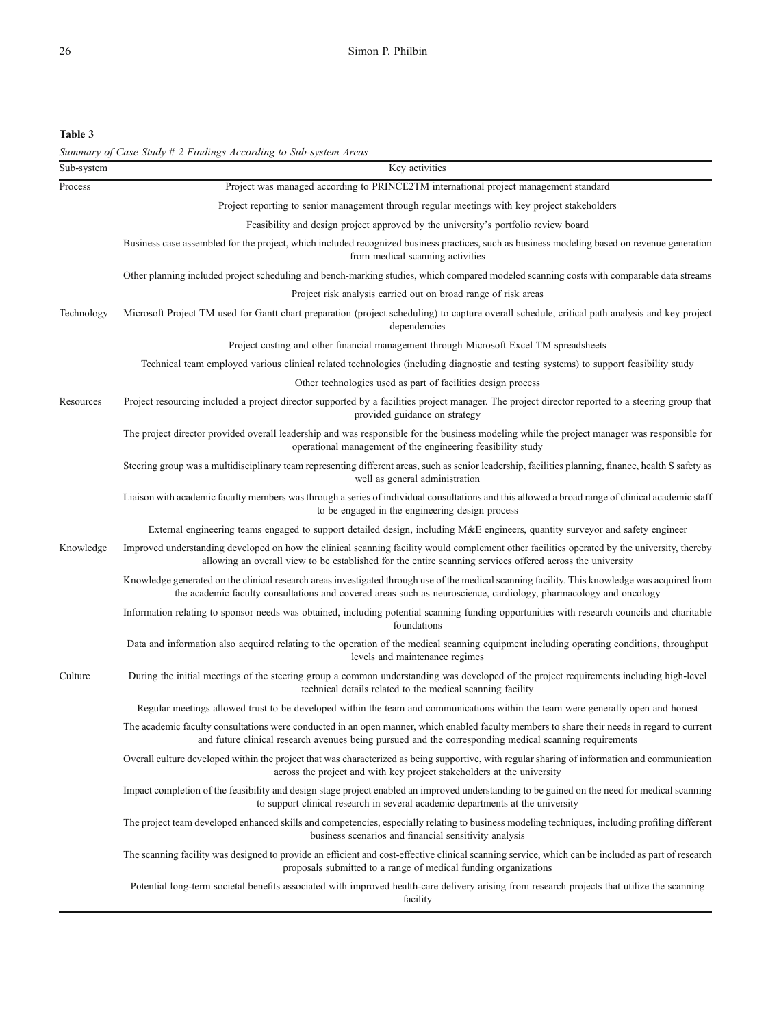Table 3

| Sub-system | Summary of Case Study # 2 Findings According to Sub-system Areas<br>Key activities                                                                                                                                                                                 |
|------------|--------------------------------------------------------------------------------------------------------------------------------------------------------------------------------------------------------------------------------------------------------------------|
| Process    | Project was managed according to PRINCE2TM international project management standard                                                                                                                                                                               |
|            | Project reporting to senior management through regular meetings with key project stakeholders                                                                                                                                                                      |
|            | Feasibility and design project approved by the university's portfolio review board                                                                                                                                                                                 |
|            | Business case assembled for the project, which included recognized business practices, such as business modeling based on revenue generation<br>from medical scanning activities                                                                                   |
|            | Other planning included project scheduling and bench-marking studies, which compared modeled scanning costs with comparable data streams                                                                                                                           |
|            | Project risk analysis carried out on broad range of risk areas                                                                                                                                                                                                     |
| Technology | Microsoft Project TM used for Gantt chart preparation (project scheduling) to capture overall schedule, critical path analysis and key project<br>dependencies                                                                                                     |
|            | Project costing and other financial management through Microsoft Excel TM spreadsheets                                                                                                                                                                             |
|            | Technical team employed various clinical related technologies (including diagnostic and testing systems) to support feasibility study                                                                                                                              |
|            | Other technologies used as part of facilities design process                                                                                                                                                                                                       |
| Resources  | Project resourcing included a project director supported by a facilities project manager. The project director reported to a steering group that<br>provided guidance on strategy                                                                                  |
|            | The project director provided overall leadership and was responsible for the business modeling while the project manager was responsible for<br>operational management of the engineering feasibility study                                                        |
|            | Steering group was a multidisciplinary team representing different areas, such as senior leadership, facilities planning, finance, health S safety as<br>well as general administration                                                                            |
|            | Liaison with academic faculty members was through a series of individual consultations and this allowed a broad range of clinical academic staff<br>to be engaged in the engineering design process                                                                |
|            | External engineering teams engaged to support detailed design, including M&E engineers, quantity surveyor and safety engineer                                                                                                                                      |
| Knowledge  | Improved understanding developed on how the clinical scanning facility would complement other facilities operated by the university, thereby<br>allowing an overall view to be established for the entire scanning services offered across the university          |
|            | Knowledge generated on the clinical research areas investigated through use of the medical scanning facility. This knowledge was acquired from<br>the academic faculty consultations and covered areas such as neuroscience, cardiology, pharmacology and oncology |
|            | Information relating to sponsor needs was obtained, including potential scanning funding opportunities with research councils and charitable<br>foundations                                                                                                        |
|            | Data and information also acquired relating to the operation of the medical scanning equipment including operating conditions, throughput<br>levels and maintenance regimes                                                                                        |
| Culture    | During the initial meetings of the steering group a common understanding was developed of the project requirements including high-level<br>technical details related to the medical scanning facility                                                              |
|            | Regular meetings allowed trust to be developed within the team and communications within the team were generally open and honest                                                                                                                                   |
|            | The academic faculty consultations were conducted in an open manner, which enabled faculty members to share their needs in regard to current<br>and future clinical research avenues being pursued and the corresponding medical scanning requirements             |
|            | Overall culture developed within the project that was characterized as being supportive, with regular sharing of information and communication<br>across the project and with key project stakeholders at the university                                           |
|            | Impact completion of the feasibility and design stage project enabled an improved understanding to be gained on the need for medical scanning<br>to support clinical research in several academic departments at the university                                    |
|            | The project team developed enhanced skills and competencies, especially relating to business modeling techniques, including profiling different<br>business scenarios and financial sensitivity analysis                                                           |
|            | The scanning facility was designed to provide an efficient and cost-effective clinical scanning service, which can be included as part of research<br>proposals submitted to a range of medical funding organizations                                              |
|            | Potential long-term societal benefits associated with improved health-care delivery arising from research projects that utilize the scanning<br>facility                                                                                                           |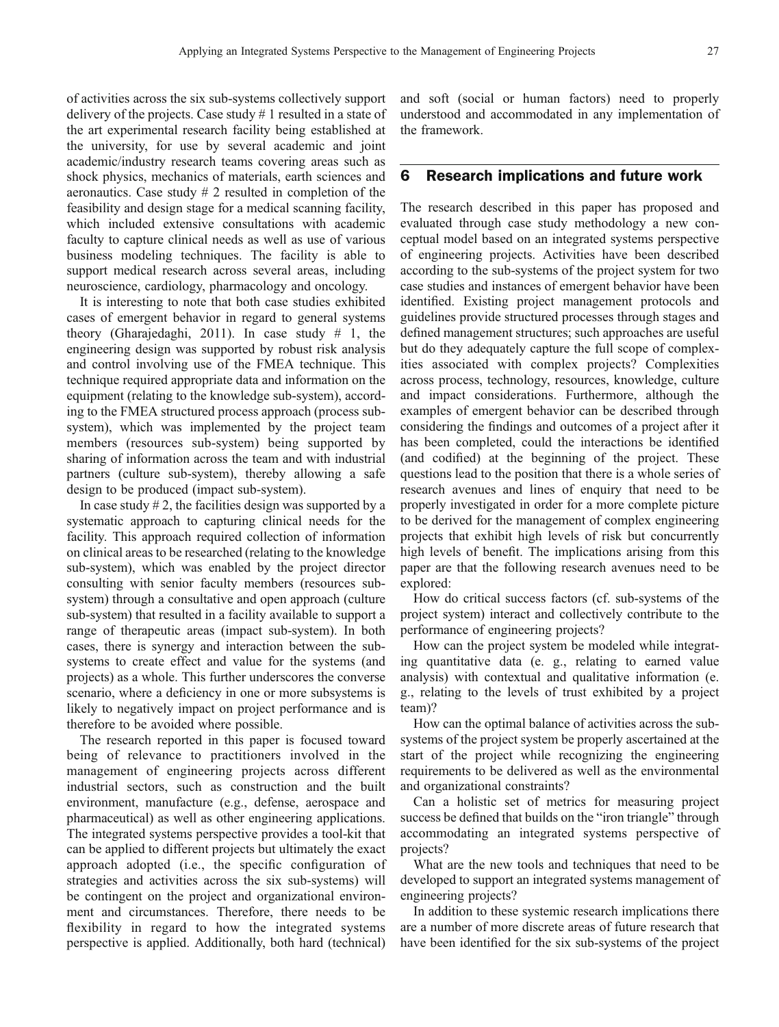of activities across the six sub-systems collectively support delivery of the projects. Case study # 1 resulted in a state of the art experimental research facility being established at the university, for use by several academic and joint academic/industry research teams covering areas such as shock physics, mechanics of materials, earth sciences and aeronautics. Case study # 2 resulted in completion of the feasibility and design stage for a medical scanning facility, which included extensive consultations with academic faculty to capture clinical needs as well as use of various business modeling techniques. The facility is able to support medical research across several areas, including neuroscience, cardiology, pharmacology and oncology.

It is interesting to note that both case studies exhibited cases of emergent behavior in regard to general systems theory ([Gharajedaghi, 2011\)](#page-10-0). In case study  $# 1$ , the engineering design was supported by robust risk analysis and control involving use of the FMEA technique. This technique required appropriate data and information on the equipment (relating to the knowledge sub-system), according to the FMEA structured process approach (process subsystem), which was implemented by the project team members (resources sub-system) being supported by sharing of information across the team and with industrial partners (culture sub-system), thereby allowing a safe design to be produced (impact sub-system).

In case study  $# 2$ , the facilities design was supported by a systematic approach to capturing clinical needs for the facility. This approach required collection of information on clinical areas to be researched (relating to the knowledge sub-system), which was enabled by the project director consulting with senior faculty members (resources subsystem) through a consultative and open approach (culture sub-system) that resulted in a facility available to support a range of therapeutic areas (impact sub-system). In both cases, there is synergy and interaction between the subsystems to create effect and value for the systems (and projects) as a whole. This further underscores the converse scenario, where a deficiency in one or more subsystems is likely to negatively impact on project performance and is therefore to be avoided where possible.

The research reported in this paper is focused toward being of relevance to practitioners involved in the management of engineering projects across different industrial sectors, such as construction and the built environment, manufacture (e.g., defense, aerospace and pharmaceutical) as well as other engineering applications. The integrated systems perspective provides a tool-kit that can be applied to different projects but ultimately the exact approach adopted (i.e., the specific configuration of strategies and activities across the six sub-systems) will be contingent on the project and organizational environment and circumstances. Therefore, there needs to be flexibility in regard to how the integrated systems perspective is applied. Additionally, both hard (technical)

and soft (social or human factors) need to properly understood and accommodated in any implementation of the framework.

### 6 Research implications and future work

The research described in this paper has proposed and evaluated through case study methodology a new conceptual model based on an integrated systems perspective of engineering projects. Activities have been described according to the sub-systems of the project system for two case studies and instances of emergent behavior have been identified. Existing project management protocols and guidelines provide structured processes through stages and defined management structures; such approaches are useful but do they adequately capture the full scope of complexities associated with complex projects? Complexities across process, technology, resources, knowledge, culture and impact considerations. Furthermore, although the examples of emergent behavior can be described through considering the findings and outcomes of a project after it has been completed, could the interactions be identified (and codified) at the beginning of the project. These questions lead to the position that there is a whole series of research avenues and lines of enquiry that need to be properly investigated in order for a more complete picture to be derived for the management of complex engineering projects that exhibit high levels of risk but concurrently high levels of benefit. The implications arising from this paper are that the following research avenues need to be explored:

How do critical success factors (cf. sub-systems of the project system) interact and collectively contribute to the performance of engineering projects?

How can the project system be modeled while integrating quantitative data (e. g., relating to earned value analysis) with contextual and qualitative information (e. g., relating to the levels of trust exhibited by a project team)?

How can the optimal balance of activities across the subsystems of the project system be properly ascertained at the start of the project while recognizing the engineering requirements to be delivered as well as the environmental and organizational constraints?

Can a holistic set of metrics for measuring project success be defined that builds on the "iron triangle" through accommodating an integrated systems perspective of projects?

What are the new tools and techniques that need to be developed to support an integrated systems management of engineering projects?

In addition to these systemic research implications there are a number of more discrete areas of future research that have been identified for the six sub-systems of the project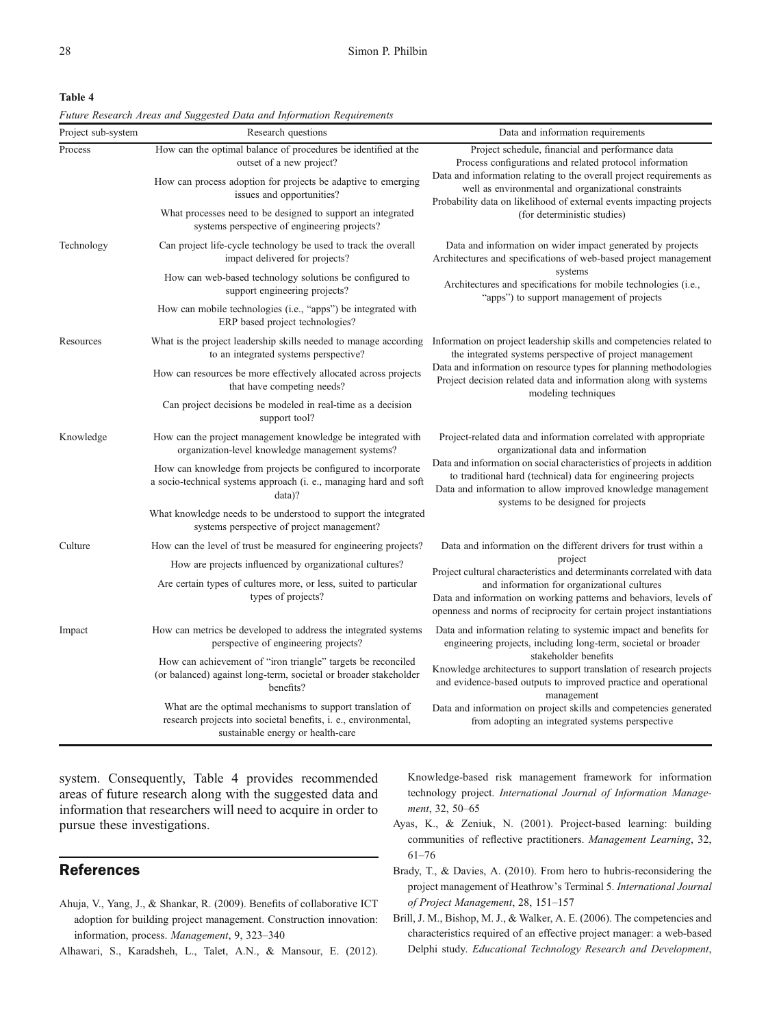<span id="page-9-0"></span>Table 4

Future Research Areas and Suggested Data and Information Requirements

| Project sub-system | Research questions                                                                                                                                                | Data and information requirements                                                                                                                                                                                                                                                                                                                        |  |
|--------------------|-------------------------------------------------------------------------------------------------------------------------------------------------------------------|----------------------------------------------------------------------------------------------------------------------------------------------------------------------------------------------------------------------------------------------------------------------------------------------------------------------------------------------------------|--|
| Process            | How can the optimal balance of procedures be identified at the<br>outset of a new project?                                                                        | Project schedule, financial and performance data<br>Process configurations and related protocol information<br>Data and information relating to the overall project requirements as<br>well as environmental and organizational constraints<br>Probability data on likelihood of external events impacting projects<br>(for deterministic studies)       |  |
|                    | How can process adoption for projects be adaptive to emerging<br>issues and opportunities?                                                                        |                                                                                                                                                                                                                                                                                                                                                          |  |
|                    | What processes need to be designed to support an integrated<br>systems perspective of engineering projects?                                                       |                                                                                                                                                                                                                                                                                                                                                          |  |
| Technology         | Can project life-cycle technology be used to track the overall<br>impact delivered for projects?                                                                  | Data and information on wider impact generated by projects<br>Architectures and specifications of web-based project management<br>systems<br>Architectures and specifications for mobile technologies (i.e.,<br>"apps") to support management of projects                                                                                                |  |
|                    | How can web-based technology solutions be configured to<br>support engineering projects?                                                                          |                                                                                                                                                                                                                                                                                                                                                          |  |
|                    | How can mobile technologies (i.e., "apps") be integrated with<br>ERP based project technologies?                                                                  |                                                                                                                                                                                                                                                                                                                                                          |  |
| Resources          | What is the project leadership skills needed to manage according<br>to an integrated systems perspective?                                                         | Information on project leadership skills and competencies related to<br>the integrated systems perspective of project management<br>Data and information on resource types for planning methodologies<br>Project decision related data and information along with systems<br>modeling techniques                                                         |  |
|                    | How can resources be more effectively allocated across projects<br>that have competing needs?                                                                     |                                                                                                                                                                                                                                                                                                                                                          |  |
|                    | Can project decisions be modeled in real-time as a decision<br>support tool?                                                                                      |                                                                                                                                                                                                                                                                                                                                                          |  |
| Knowledge          | How can the project management knowledge be integrated with<br>organization-level knowledge management systems?                                                   | Project-related data and information correlated with appropriate<br>organizational data and information<br>Data and information on social characteristics of projects in addition<br>to traditional hard (technical) data for engineering projects<br>Data and information to allow improved knowledge management<br>systems to be designed for projects |  |
|                    | How can knowledge from projects be configured to incorporate<br>a socio-technical systems approach (i. e., managing hard and soft<br>$data$ ?                     |                                                                                                                                                                                                                                                                                                                                                          |  |
|                    | What knowledge needs to be understood to support the integrated<br>systems perspective of project management?                                                     |                                                                                                                                                                                                                                                                                                                                                          |  |
| Culture            | How can the level of trust be measured for engineering projects?                                                                                                  | Data and information on the different drivers for trust within a<br>project<br>Project cultural characteristics and determinants correlated with data<br>and information for organizational cultures<br>Data and information on working patterns and behaviors, levels of<br>openness and norms of reciprocity for certain project instantiations        |  |
|                    | How are projects influenced by organizational cultures?                                                                                                           |                                                                                                                                                                                                                                                                                                                                                          |  |
|                    | Are certain types of cultures more, or less, suited to particular<br>types of projects?                                                                           |                                                                                                                                                                                                                                                                                                                                                          |  |
| Impact             | How can metrics be developed to address the integrated systems<br>perspective of engineering projects?                                                            | Data and information relating to systemic impact and benefits for<br>engineering projects, including long-term, societal or broader                                                                                                                                                                                                                      |  |
|                    | How can achievement of "iron triangle" targets be reconciled<br>(or balanced) against long-term, societal or broader stakeholder<br>benefits?                     | stakeholder benefits<br>Knowledge architectures to support translation of research projects<br>and evidence-based outputs to improved practice and operational<br>management                                                                                                                                                                             |  |
|                    | What are the optimal mechanisms to support translation of<br>research projects into societal benefits, i. e., environmental,<br>sustainable energy or health-care | Data and information on project skills and competencies generated<br>from adopting an integrated systems perspective                                                                                                                                                                                                                                     |  |

system. Consequently, Table 4 provides recommended areas of future research along with the suggested data and information that researchers will need to acquire in order to pursue these investigations.

## References

- Ahuja, V., Yang, J., & Shankar, R. (2009). Benefits of collaborative ICT adoption for building project management. Construction innovation: information, process. Management, 9, 323–340
- Alhawari, S., Karadsheh, L., Talet, A.N., & Mansour, E. (2012).

Knowledge-based risk management framework for information technology project. International Journal of Information Management, 32, 50–65

- Ayas, K., & Zeniuk, N. (2001). Project-based learning: building communities of reflective practitioners. Management Learning, 32, 61–76
- Brady, T., & Davies, A. (2010). From hero to hubris-reconsidering the project management of Heathrow's Terminal 5. International Journal of Project Management, 28, 151–157
- Brill, J. M., Bishop, M. J., & Walker, A. E. (2006). The competencies and characteristics required of an effective project manager: a web-based Delphi study. Educational Technology Research and Development,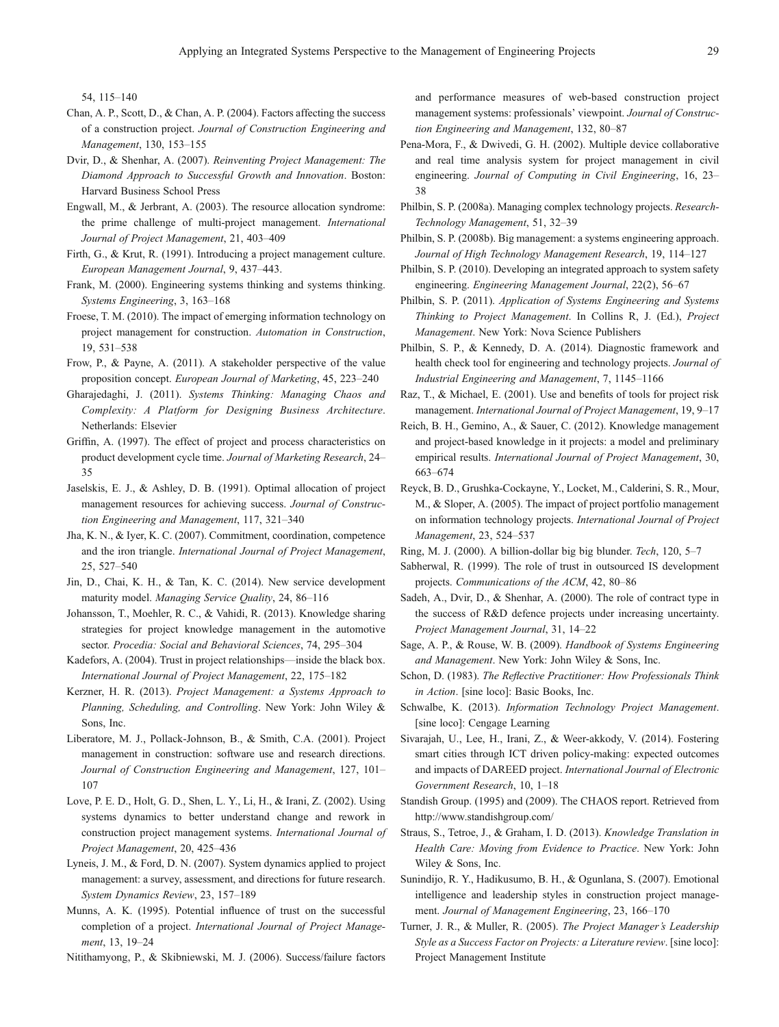<span id="page-10-0"></span>54, 115–140

- Chan, A. P., Scott, D., & Chan, A. P. (2004). Factors affecting the success of a construction project. Journal of Construction Engineering and Management, 130, 153–155
- Dvir, D., & Shenhar, A. (2007). Reinventing Project Management: The Diamond Approach to Successful Growth and Innovation. Boston: Harvard Business School Press
- Engwall, M., & Jerbrant, A. (2003). The resource allocation syndrome: the prime challenge of multi-project management. International Journal of Project Management, 21, 403–409
- Firth, G., & Krut, R. (1991). Introducing a project management culture. European Management Journal, 9, 437–443.
- Frank, M. (2000). Engineering systems thinking and systems thinking. Systems Engineering, 3, 163–168
- Froese, T. M. (2010). The impact of emerging information technology on project management for construction. Automation in Construction, 19, 531–538
- Frow, P., & Payne, A. (2011). A stakeholder perspective of the value proposition concept. European Journal of Marketing, 45, 223–240
- Gharajedaghi, J. (2011). Systems Thinking: Managing Chaos and Complexity: A Platform for Designing Business Architecture. Netherlands: Elsevier
- Griffin, A. (1997). The effect of project and process characteristics on product development cycle time. Journal of Marketing Research, 24– 35
- Jaselskis, E. J., & Ashley, D. B. (1991). Optimal allocation of project management resources for achieving success. Journal of Construction Engineering and Management, 117, 321–340
- Jha, K. N., & Iyer, K. C. (2007). Commitment, coordination, competence and the iron triangle. International Journal of Project Management, 25, 527–540
- Jin, D., Chai, K. H., & Tan, K. C. (2014). New service development maturity model. Managing Service Quality, 24, 86–116
- Johansson, T., Moehler, R. C., & Vahidi, R. (2013). Knowledge sharing strategies for project knowledge management in the automotive sector. Procedia: Social and Behavioral Sciences, 74, 295–304
- Kadefors, A. (2004). Trust in project relationships—inside the black box. International Journal of Project Management, 22, 175–182
- Kerzner, H. R. (2013). Project Management: a Systems Approach to Planning, Scheduling, and Controlling. New York: John Wiley & Sons, Inc.
- Liberatore, M. J., Pollack-Johnson, B., & Smith, C.A. (2001). Project management in construction: software use and research directions. Journal of Construction Engineering and Management, 127, 101– 107
- Love, P. E. D., Holt, G. D., Shen, L. Y., Li, H., & Irani, Z. (2002). Using systems dynamics to better understand change and rework in construction project management systems. International Journal of Project Management, 20, 425–436
- Lyneis, J. M., & Ford, D. N. (2007). System dynamics applied to project management: a survey, assessment, and directions for future research. System Dynamics Review, 23, 157–189
- Munns, A. K. (1995). Potential influence of trust on the successful completion of a project. International Journal of Project Management, 13, 19–24

Nitithamyong, P., & Skibniewski, M. J. (2006). Success/failure factors

and performance measures of web-based construction project management systems: professionals' viewpoint. Journal of Construction Engineering and Management, 132, 80–87

- Pena-Mora, F., & Dwivedi, G. H. (2002). Multiple device collaborative and real time analysis system for project management in civil engineering. Journal of Computing in Civil Engineering, 16, 23– 38
- Philbin, S. P. (2008a). Managing complex technology projects. Research-Technology Management, 51, 32–39
- Philbin, S. P. (2008b). Big management: a systems engineering approach. Journal of High Technology Management Research, 19, 114–127
- Philbin, S. P. (2010). Developing an integrated approach to system safety engineering. Engineering Management Journal, 22(2), 56–67
- Philbin, S. P. (2011). Application of Systems Engineering and Systems Thinking to Project Management. In Collins R, J. (Ed.), Project Management. New York: Nova Science Publishers
- Philbin, S. P., & Kennedy, D. A. (2014). Diagnostic framework and health check tool for engineering and technology projects. Journal of Industrial Engineering and Management, 7, 1145–1166
- Raz, T., & Michael, E. (2001). Use and benefits of tools for project risk management. International Journal of Project Management, 19, 9–17
- Reich, B. H., Gemino, A., & Sauer, C. (2012). Knowledge management and project-based knowledge in it projects: a model and preliminary empirical results. International Journal of Project Management, 30, 663–674
- Reyck, B. D., Grushka-Cockayne, Y., Locket, M., Calderini, S. R., Mour, M., & Sloper, A. (2005). The impact of project portfolio management on information technology projects. International Journal of Project Management, 23, 524–537
- Ring, M. J. (2000). A billion-dollar big big blunder. Tech, 120, 5–7
- Sabherwal, R. (1999). The role of trust in outsourced IS development projects. Communications of the ACM, 42, 80–86
- Sadeh, A., Dvir, D., & Shenhar, A. (2000). The role of contract type in the success of R&D defence projects under increasing uncertainty. Project Management Journal, 31, 14–22
- Sage, A. P., & Rouse, W. B. (2009). Handbook of Systems Engineering and Management. New York: John Wiley & Sons, Inc.
- Schon, D. (1983). The Reflective Practitioner: How Professionals Think in Action. [sine loco]: Basic Books, Inc.
- Schwalbe, K. (2013). Information Technology Project Management. [sine loco]: Cengage Learning
- Sivarajah, U., Lee, H., Irani, Z., & Weer-akkody, V. (2014). Fostering smart cities through ICT driven policy-making: expected outcomes and impacts of DAREED project. International Journal of Electronic Government Research, 10, 1–18
- Standish Group. (1995) and (2009). The CHAOS report. Retrieved from http://www.standishgroup.com/
- Straus, S., Tetroe, J., & Graham, I. D. (2013). Knowledge Translation in Health Care: Moving from Evidence to Practice. New York: John Wiley & Sons, Inc.
- Sunindijo, R. Y., Hadikusumo, B. H., & Ogunlana, S. (2007). Emotional intelligence and leadership styles in construction project management. Journal of Management Engineering, 23, 166–170
- Turner, J. R., & Muller, R. (2005). The Project Manager's Leadership Style as a Success Factor on Projects: a Literature review. [sine loco]: Project Management Institute